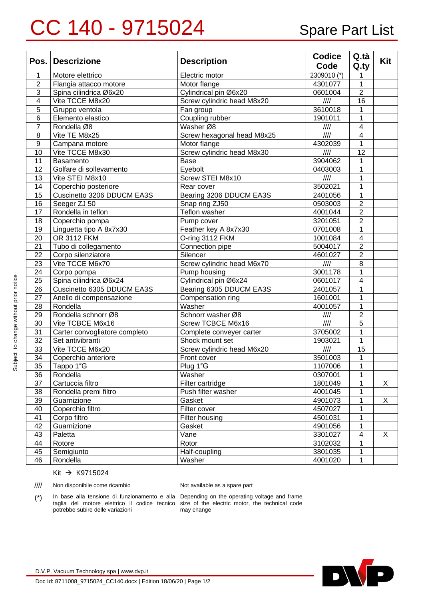## CC 140 - 9715024 Spare Part List

| Pos.                    | <b>Descrizione</b>            | <b>Description</b>         | <b>Codice</b><br>Code     | Q.tà<br>Q.ty            | Kit |
|-------------------------|-------------------------------|----------------------------|---------------------------|-------------------------|-----|
| 1                       | Motore elettrico              | Electric motor             | 2309010 (*)               | 1                       |     |
| $\overline{2}$          | Flangia attacco motore        | Motor flange               | 4301077                   | 1                       |     |
| $\overline{3}$          | Spina cilindrica Ø6x20        | Cylindrical pin Ø6x20      | 0601004                   | $\overline{2}$          |     |
| $\overline{\mathbf{4}}$ | Vite TCCE M8x20               | Screw cylindric head M8x20 | III                       | 16                      |     |
| 5                       | Gruppo ventola                | Fan group                  | 3610018                   | 1                       |     |
| $6\phantom{1}6$         | Elemento elastico             | Coupling rubber            | 1901011                   | 1                       |     |
| $\overline{7}$          | Rondella Ø8                   | Washer Ø8                  | 1111                      | $\overline{4}$          |     |
| 8                       | Vite TE M8x25                 | Screw hexagonal head M8x25 | $\overline{\mathbb{III}}$ | $\overline{4}$          |     |
| $\boldsymbol{9}$        | Campana motore                | Motor flange               | 4302039                   | $\mathbf{1}$            |     |
| 10                      | Vite TCCE M8x30               | Screw cylindric head M8x30 | 1111                      | $\overline{12}$         |     |
| 11                      | Basamento                     | Base                       | 3904062                   | 1                       |     |
| 12                      | Golfare di sollevamento       | Eyebolt                    | 0403003                   | 1                       |     |
| 13                      | Vite STEI M8x10               | Screw STEI M8x10           | III                       | $\mathbf{1}$            |     |
| 14                      | Coperchio posteriore          | Rear cover                 | 3502021                   | 1                       |     |
| 15                      | Cuscinetto 3206 DDUCM EA3S    | Bearing 3206 DDUCM EA3S    | 2401056                   | $\mathbf{1}$            |     |
| 16                      | Seeger ZJ 50                  | Snap ring ZJ50             | 0503003                   | $\overline{2}$          |     |
| 17                      | Rondella in teflon            | Teflon washer              | 4001044                   | $\overline{2}$          |     |
| 18                      | Coperchio pompa               | Pump cover                 | 3201051                   | $\overline{2}$          |     |
| 19                      | Linguetta tipo A 8x7x30       | Feather key A 8x7x30       | 0701008                   | $\mathbf{1}$            |     |
| 20                      | OR 3112 FKM                   | O-ring 3112 FKM            | 1001084                   | $\overline{4}$          |     |
| 21                      | Tubo di collegamento          | Connection pipe            | 5004017                   | $\overline{2}$          |     |
| 22                      | Corpo silenziatore            | Silencer                   | 4601027                   | $\overline{2}$          |     |
| 23                      | Vite TCCE M6x70               | Screw cylindric head M6x70 | 1111                      | $\overline{8}$          |     |
| 24                      | Corpo pompa                   | Pump housing               | 3001178                   | 1                       |     |
| 25                      | Spina cilindrica Ø6x24        | Cylindrical pin Ø6x24      | 0601017                   | $\overline{4}$          |     |
| 26                      | Cuscinetto 6305 DDUCM EA3S    | Bearing 6305 DDUCM EA3S    | 2401057                   | 1                       |     |
| 27                      | Anello di compensazione       | Compensation ring          | 1601001                   | 1                       |     |
| 28                      | Rondella                      | Washer                     | 4001057                   | $\mathbf{1}$            |     |
| 29                      | Rondella schnorr Ø8           | Schnorr washer Ø8          | $\overline{\mathbb{III}}$ | $\overline{2}$          |     |
| 30                      | Vite TCBCE M6x16              | Screw TCBCE M6x16          | $\overline{1111}$         | $\overline{5}$          |     |
| 31                      | Carter convogliatore completo | Complete conveyer carter   | 3705002                   | 1                       |     |
| 32                      | Set antivibranti              | Shock mount set            | 1903021                   | 1                       |     |
| 33                      | Vite TCCE M6x20               | Screw cylindric head M6x20 | $\overline{1111}$         | $\overline{15}$         |     |
| 34                      | Coperchio anteriore           | Front cover                | 3501003                   | 1                       |     |
| $\overline{35}$         | Tappo 1"G                     | Plug 1"G                   | 1107006                   | 1                       |     |
| 36                      | Rondella                      | Washer                     | 0307001                   | 1                       |     |
| 37                      | Cartuccia filtro              | Filter cartridge           | 1801049                   |                         | X   |
| 38                      | Rondella premi filtro         | Push filter washer         | 4001045                   | 1                       |     |
| 39                      | Guarnizione                   | Gasket                     | 4901073                   | 1                       | X   |
| 40                      | Coperchio filtro              | Filter cover               | 4507027                   | 1                       |     |
| 41                      | Corpo filtro                  | Filter housing             | 4501031                   | 1                       |     |
| 42                      | Guarnizione                   | Gasket                     | 4901056                   | 1                       |     |
| 43                      | Paletta                       | Vane                       | 3301027                   | $\overline{\mathbf{4}}$ | X   |
| 44                      | Rotore                        | Rotor                      | 3102032                   | 1                       |     |
| 45                      | Semigiunto                    | Half-coupling              | 3801035                   | 1                       |     |
| 46                      | Rondella                      | Washer                     | 4001020                   | 1                       |     |

Kit → K9715024

//// Non disponibile come ricambio Not available as a spare part

(\*) In base alla tensione di funzionamento e alla Depending on the operating voltage and frame potrebbe subire delle variazioni

taglia del motore elettrico il codice tecnico size of the electric motor, the technical code may change